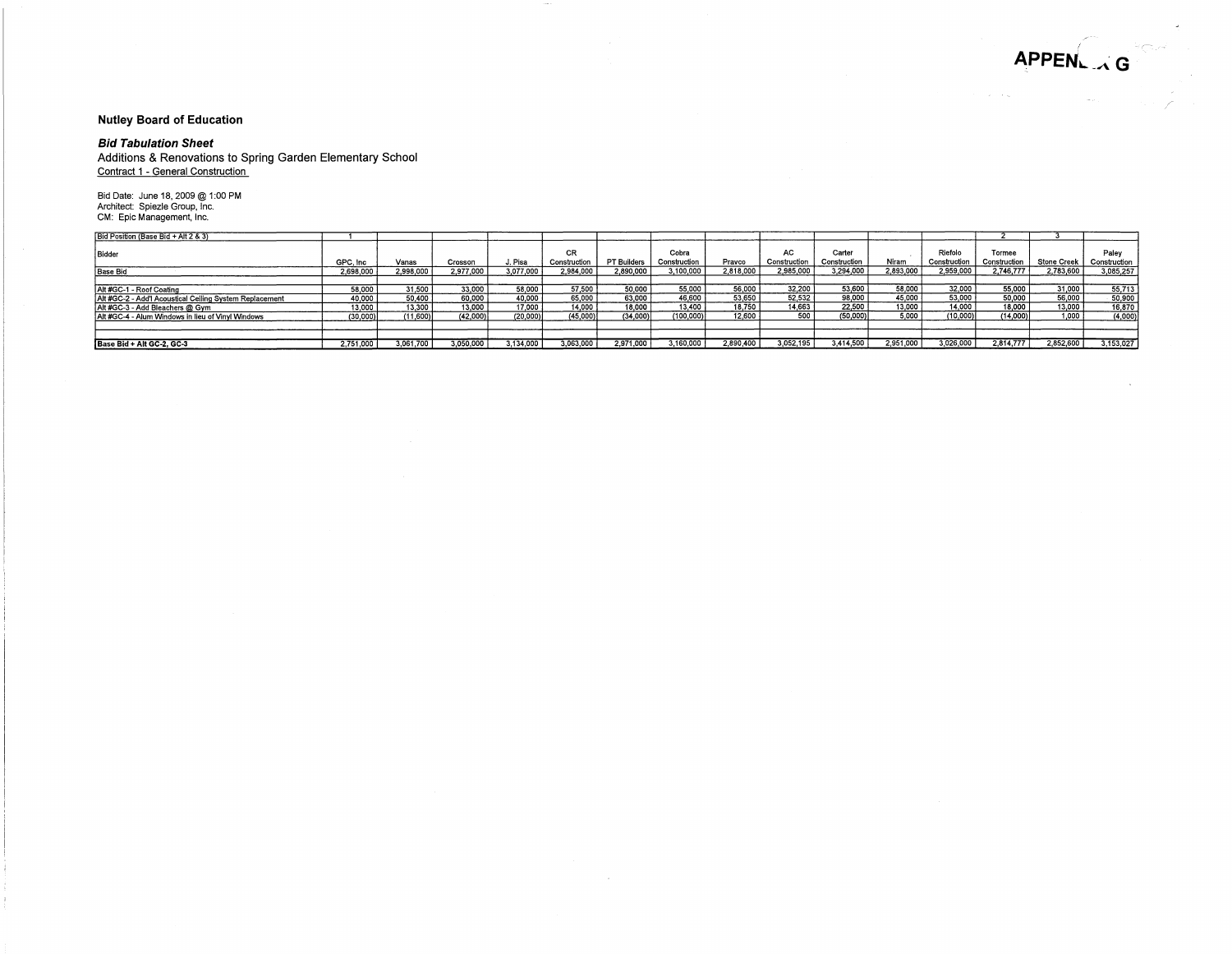/

#### **Nutley Board of Education**

#### **Bid Tabulation Sheet**

Additions & Renovations to Spring Garden Elementary School Contract 1 - General Construction

Bid Date: June 18, 2009 @ 1 :00 PM Architect: Spiezle Group, Inc. CM: Epic Management, Inc.

| Bid Position (Base Bid + Alt 2 & 3)                     |           |           |           |           |                    |             |                       |           |                    |                        |           |                         |                        |                    |                       |
|---------------------------------------------------------|-----------|-----------|-----------|-----------|--------------------|-------------|-----------------------|-----------|--------------------|------------------------|-----------|-------------------------|------------------------|--------------------|-----------------------|
| Bidder                                                  | GPC, Inc. | Vanas     | Crosson   | J. Pisa   | CR<br>Construction | PT Builders | Cobra<br>Construction | Pravco    | AC<br>Construction | Carter<br>Construction | Niram     | Riefolo<br>Construction | Tormee<br>Construction | <b>Stone Creek</b> | Palev<br>Construction |
| <b>Base Bid</b>                                         | 2,698,000 | 2,998,000 | 2.977.000 | 3.077.000 | 2,984,000          | 2,890,000   | 3.100.000             | 2.818.000 | 2.985.000          | 3.294.000              | 2,893,000 | 2,959,000               | 2.746.777              | 2.783.600          | 3,085,257             |
|                                                         |           |           |           |           |                    |             |                       |           |                    |                        |           |                         |                        |                    |                       |
| Alt #GC-1 - Roof Coating                                | 58,000    | 31,500    | 33.000    | 58,000    | 57.500             | 50,000      | 55,000                | 56,000    | 32.200             | 53,600                 | 58,000    | 32,000                  | 55,000                 | 31,000             | 55,713                |
| Alt #GC-2 - Add'l Acoustical Ceiling System Replacement | 40,000    | 50.400    | 60,000    | 40,000    | 65.000             | 63,000      | 46,600                | 53.650    | 52.532             | 98,000                 | 45,000    | 53,000                  | 50,000                 | 56,000             | 50,900                |
| Alt #GC-3 - Add Bleachers @ Gym                         | 13.000    | 13,300    | 13,000    | 17,000 \  | 14.000             | 18,000      | 13.400                | 18.750    | 14,663             | 22,500                 | 13,000    | 14.000 <sub>1</sub>     | 18,000                 | 13,000             | 16,870                |
| Alt #GC-4 - Alum Windows in lieu of Vinyl Windows       | (30.000)  | (11.600)  | (42.000)  | (20,000)  | (45,000)           | (34.000)    | (100,000)             | 12,600    | 500                | $(50.000)^{1}$         | 5.000     | (10,000)                | (14,000)               | 1,000,             | (4,000)               |
|                                                         |           |           |           |           |                    |             |                       |           |                    |                        |           |                         |                        |                    |                       |
|                                                         |           |           |           |           |                    |             |                       |           |                    |                        |           |                         |                        |                    |                       |
| Base Bid + Alt GC-2, GC-3                               | 2.751.000 | 3,061,700 | 3.050.000 | 3.134.000 | 3.063.000          | 2.971.000   | 160,000               | 2.890.400 | 3.052.195          | 3.414.500              | 2.951.000 | 3.026.000               | 2.814.777              | 2,852,600          | 3.153.027             |

 $\sim$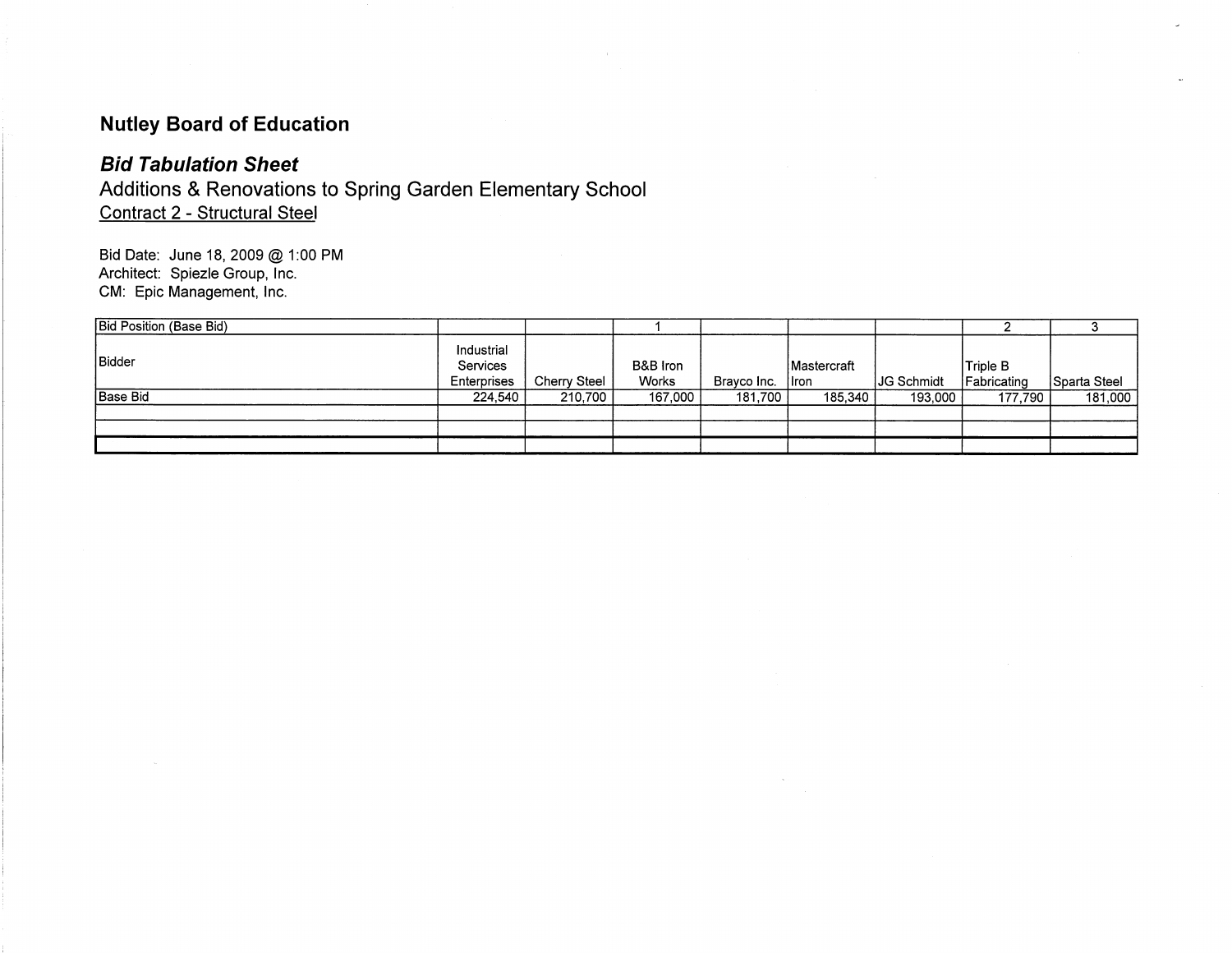# **Nutley Board of Education**

## **Bid Tabulation Sheet**

Additions & Renovations to Spring Garden Elementary School Contract 2 - Structural Steel

Bid Date: June 18, 2009 @ 1 :00 PM Architect: Spiezle Group, Inc. CM: Epic Management, Inc.

| <b>Bid Position (Base Bid)</b> |                                       |                     |                   |             |                               |                   |                         |              |
|--------------------------------|---------------------------------------|---------------------|-------------------|-------------|-------------------------------|-------------------|-------------------------|--------------|
| Bidder                         | Industrial<br>Services<br>Enterprises | <b>Cherry Steel</b> | B&B Iron<br>Works | Brayco Inc. | <b>IMastercraft</b><br>l Iron | <b>JG Schmidt</b> | Triple B<br>Fabricating | Sparta Steel |
| <b>Base Bid</b>                | 224,540                               | 210,700             | 167,000           | 181,700     | 185.340                       | 193,000           | 177,790                 | 181,000      |
|                                |                                       |                     |                   |             |                               |                   |                         |              |
|                                |                                       |                     |                   |             |                               |                   |                         |              |
|                                |                                       |                     |                   |             |                               |                   |                         |              |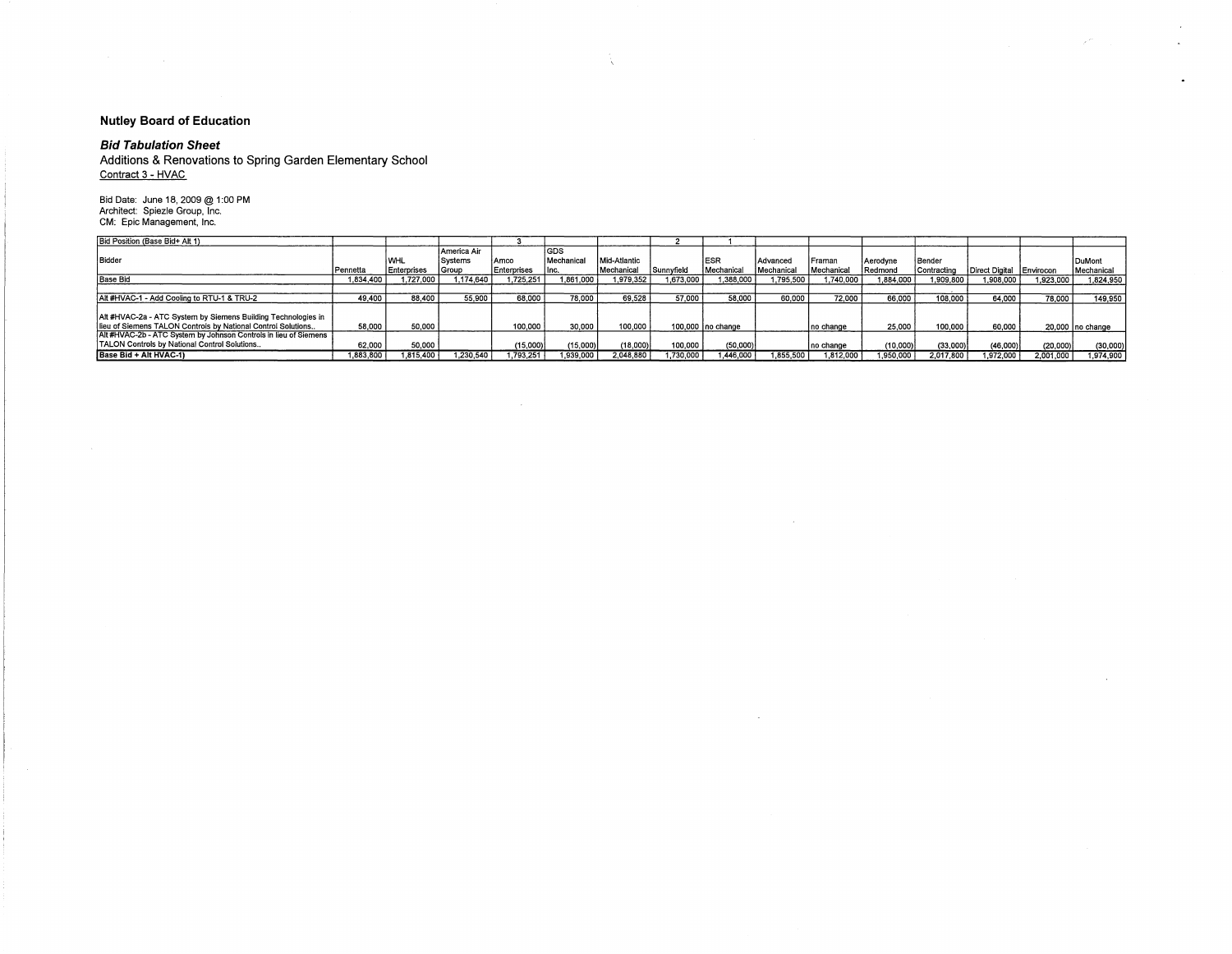### **Nutley Board of Education**

**Bid Tabulation Sheet**<br>Additions & Renovations to Spring Garden Elementary School Contract 3 - HVAC

Bid Date: June 18, 2009 @ 1:00 PM<br>Architect: Spiezle Group, Inc.<br>CM: Epic Management, Inc.

| Bid Position (Base Bid+ Alt 1)                                                                                                |           |             |                        |             |                     |              |            |                    |            |            |            |               |                          |           |                  |
|-------------------------------------------------------------------------------------------------------------------------------|-----------|-------------|------------------------|-------------|---------------------|--------------|------------|--------------------|------------|------------|------------|---------------|--------------------------|-----------|------------------|
| Bidder                                                                                                                        |           | <b>IWHL</b> | America Air<br>Systems | Amco        | l GDS<br>Mechanical | Mid-Atlantic |            | ESF                | Advanced   | l Framan   | l Aerodvne | Bender        |                          |           | <b>DuMont</b>    |
|                                                                                                                               | Pennetta  | Enterprises | Group                  | Enterprises | Inc.                | Mechanical   | Sunnyfield | Mechanical         | Mechanical | Mechanical | Redmond    | l Contracting | Direct Digital Envirocon |           | Mechanical       |
| <b>Base Bid</b>                                                                                                               | 1.834.400 | 727.000     | 1.174.640              | 1.725.251   | 1.861.000           | 1.979.352    | .673.000   | .388.000           | 1.795.500  | 1.740.000  | 1.884.000  | 1,909,800     | 000.809, l               | .923,000  | 1.824.950        |
|                                                                                                                               |           |             |                        |             |                     |              |            |                    |            |            |            |               |                          |           |                  |
| Alt #HVAC-1 - Add Cooling to RTU-1 & TRU-2                                                                                    | 49.400    | 88,400      | 55.900                 | 68,000      | 78,000              | 69.528       | 57.000     | 58,000             | 60.000     | 72.000     | 66.000     | 108.000       | 64.000                   | 78,000    | 149.950          |
| Alt #HVAC-2a - ATC System by Siemens Building Technologies in<br>lieu of Siemens TALON Controls by National Control Solutions | 58,000    | 50,000      |                        | 100,000     | 30,000              | 100.000      |            | 100,000 Ino change |            | no change  | 25.000     | 100,000       | 60.000                   |           | 20.000 no change |
| Alt #HVAC-2b - ATC System by Johnson Controls in lieu of Siemens<br>TALON Controls by National Control Solutions              | 62.000    | 50,000      |                        | (15,000)    | (15,000)            | (18,000)     | 100,000    | (50,000)           |            | Ino change | (10,000)   | (33,000)      | (46,000)                 | (20,000)  | (30,000)         |
| Base Bid + Alt HVAC-1)                                                                                                        | .883,800  | .815.400    | 1.230.540              | .793.251    | .939,000            | 2.048,880    | .730,000   | .446,000           | 1.855,500  | 1.812.000  | 1.950.000  | 2.017.800     | ,972,000                 | 2,001,000 | 1,974,900        |

 $\sim$ 

 $\sim$ 

À.

 $\mathcal{L}^{\text{eff}}$  and  $\mathcal{L}^{\text{eff}}$